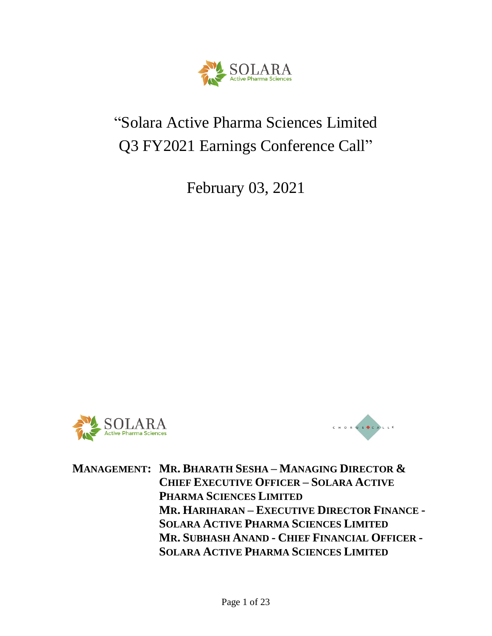

# "Solara Active Pharma Sciences Limited Q3 FY2021 Earnings Conference Call"

February 03, 2021





**MANAGEMENT: MR. BHARATH SESHA – MANAGING DIRECTOR & CHIEF EXECUTIVE OFFICER – SOLARA ACTIVE PHARMA SCIENCES LIMITED MR. HARIHARAN – EXECUTIVE DIRECTOR FINANCE - SOLARA ACTIVE PHARMA SCIENCES LIMITED MR. SUBHASH ANAND - CHIEF FINANCIAL OFFICER - SOLARA ACTIVE PHARMA SCIENCES LIMITED**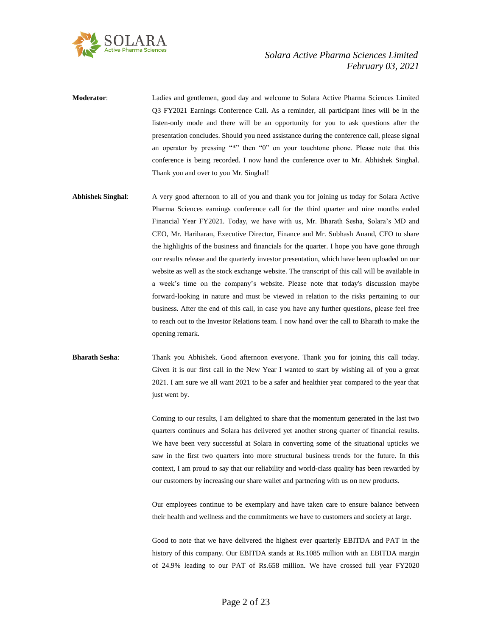

**Moderator**: Ladies and gentlemen, good day and welcome to Solara Active Pharma Sciences Limited Q3 FY2021 Earnings Conference Call. As a reminder, all participant lines will be in the listen-only mode and there will be an opportunity for you to ask questions after the presentation concludes. Should you need assistance during the conference call, please signal an operator by pressing "\*" then "0" on your touchtone phone. Please note that this conference is being recorded. I now hand the conference over to Mr. Abhishek Singhal. Thank you and over to you Mr. Singhal!

**Abhishek Singhal**: A very good afternoon to all of you and thank you for joining us today for Solara Active Pharma Sciences earnings conference call for the third quarter and nine months ended Financial Year FY2021. Today, we have with us, Mr. Bharath Sesha, Solara's MD and CEO, Mr. Hariharan, Executive Director, Finance and Mr. Subhash Anand, CFO to share the highlights of the business and financials for the quarter. I hope you have gone through our results release and the quarterly investor presentation, which have been uploaded on our website as well as the stock exchange website. The transcript of this call will be available in a week's time on the company's website. Please note that today's discussion maybe forward-looking in nature and must be viewed in relation to the risks pertaining to our business. After the end of this call, in case you have any further questions, please feel free to reach out to the Investor Relations team. I now hand over the call to Bharath to make the opening remark.

# **Bharath Sesha**: Thank you Abhishek. Good afternoon everyone. Thank you for joining this call today. Given it is our first call in the New Year I wanted to start by wishing all of you a great 2021. I am sure we all want 2021 to be a safer and healthier year compared to the year that just went by.

Coming to our results, I am delighted to share that the momentum generated in the last two quarters continues and Solara has delivered yet another strong quarter of financial results. We have been very successful at Solara in converting some of the situational upticks we saw in the first two quarters into more structural business trends for the future. In this context, I am proud to say that our reliability and world-class quality has been rewarded by our customers by increasing our share wallet and partnering with us on new products.

Our employees continue to be exemplary and have taken care to ensure balance between their health and wellness and the commitments we have to customers and society at large.

Good to note that we have delivered the highest ever quarterly EBITDA and PAT in the history of this company. Our EBITDA stands at Rs.1085 million with an EBITDA margin of 24.9% leading to our PAT of Rs.658 million. We have crossed full year FY2020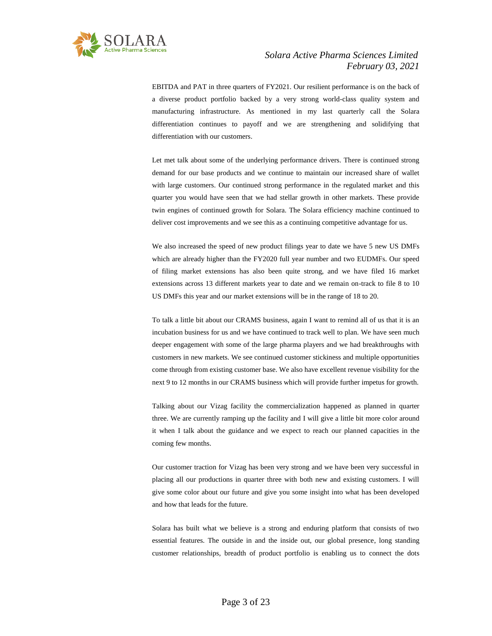

EBITDA and PAT in three quarters of FY2021. Our resilient performance is on the back of a diverse product portfolio backed by a very strong world-class quality system and manufacturing infrastructure. As mentioned in my last quarterly call the Solara differentiation continues to payoff and we are strengthening and solidifying that differentiation with our customers.

Let met talk about some of the underlying performance drivers. There is continued strong demand for our base products and we continue to maintain our increased share of wallet with large customers. Our continued strong performance in the regulated market and this quarter you would have seen that we had stellar growth in other markets. These provide twin engines of continued growth for Solara. The Solara efficiency machine continued to deliver cost improvements and we see this as a continuing competitive advantage for us.

We also increased the speed of new product filings year to date we have 5 new US DMFs which are already higher than the FY2020 full year number and two EUDMFs. Our speed of filing market extensions has also been quite strong, and we have filed 16 market extensions across 13 different markets year to date and we remain on-track to file 8 to 10 US DMFs this year and our market extensions will be in the range of 18 to 20.

To talk a little bit about our CRAMS business, again I want to remind all of us that it is an incubation business for us and we have continued to track well to plan. We have seen much deeper engagement with some of the large pharma players and we had breakthroughs with customers in new markets. We see continued customer stickiness and multiple opportunities come through from existing customer base. We also have excellent revenue visibility for the next 9 to 12 months in our CRAMS business which will provide further impetus for growth.

Talking about our Vizag facility the commercialization happened as planned in quarter three. We are currently ramping up the facility and I will give a little bit more color around it when I talk about the guidance and we expect to reach our planned capacities in the coming few months.

Our customer traction for Vizag has been very strong and we have been very successful in placing all our productions in quarter three with both new and existing customers. I will give some color about our future and give you some insight into what has been developed and how that leads for the future.

Solara has built what we believe is a strong and enduring platform that consists of two essential features. The outside in and the inside out, our global presence, long standing customer relationships, breadth of product portfolio is enabling us to connect the dots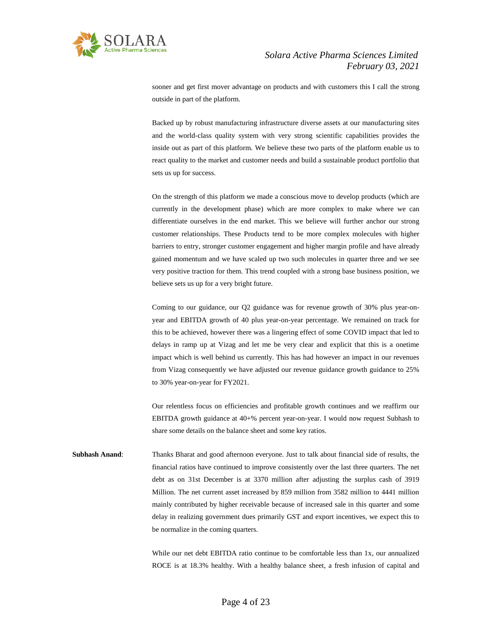

sooner and get first mover advantage on products and with customers this I call the strong outside in part of the platform.

Backed up by robust manufacturing infrastructure diverse assets at our manufacturing sites and the world-class quality system with very strong scientific capabilities provides the inside out as part of this platform. We believe these two parts of the platform enable us to react quality to the market and customer needs and build a sustainable product portfolio that sets us up for success.

On the strength of this platform we made a conscious move to develop products (which are currently in the development phase) which are more complex to make where we can differentiate ourselves in the end market. This we believe will further anchor our strong customer relationships. These Products tend to be more complex molecules with higher barriers to entry, stronger customer engagement and higher margin profile and have already gained momentum and we have scaled up two such molecules in quarter three and we see very positive traction for them. This trend coupled with a strong base business position, we believe sets us up for a very bright future.

Coming to our guidance, our Q2 guidance was for revenue growth of 30% plus year-onyear and EBITDA growth of 40 plus year-on-year percentage. We remained on track for this to be achieved, however there was a lingering effect of some COVID impact that led to delays in ramp up at Vizag and let me be very clear and explicit that this is a onetime impact which is well behind us currently. This has had however an impact in our revenues from Vizag consequently we have adjusted our revenue guidance growth guidance to 25% to 30% year-on-year for FY2021.

Our relentless focus on efficiencies and profitable growth continues and we reaffirm our EBITDA growth guidance at 40+% percent year-on-year. I would now request Subhash to share some details on the balance sheet and some key ratios.

**Subhash Anand**: Thanks Bharat and good afternoon everyone. Just to talk about financial side of results, the financial ratios have continued to improve consistently over the last three quarters. The net debt as on 31st December is at 3370 million after adjusting the surplus cash of 3919 Million. The net current asset increased by 859 million from 3582 million to 4441 million mainly contributed by higher receivable because of increased sale in this quarter and some delay in realizing government dues primarily GST and export incentives, we expect this to be normalize in the coming quarters.

> While our net debt EBITDA ratio continue to be comfortable less than 1x, our annualized ROCE is at 18.3% healthy. With a healthy balance sheet, a fresh infusion of capital and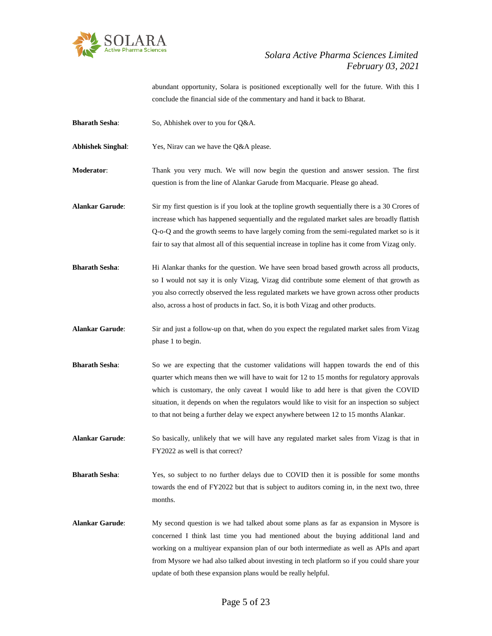

abundant opportunity, Solara is positioned exceptionally well for the future. With this I conclude the financial side of the commentary and hand it back to Bharat.

**Bharath Sesha:** So, Abhishek over to you for Q&A.

**Abhishek Singhal**: Yes, Nirav can we have the Q&A please.

- **Moderator**: Thank you very much. We will now begin the question and answer session. The first question is from the line of Alankar Garude from Macquarie. Please go ahead.
- **Alankar Garude**: Sir my first question is if you look at the topline growth sequentially there is a 30 Crores of increase which has happened sequentially and the regulated market sales are broadly flattish Q-o-Q and the growth seems to have largely coming from the semi-regulated market so is it fair to say that almost all of this sequential increase in topline has it come from Vizag only.
- **Bharath Sesha:** Hi Alankar thanks for the question. We have seen broad based growth across all products, so I would not say it is only Vizag, Vizag did contribute some element of that growth as you also correctly observed the less regulated markets we have grown across other products also, across a host of products in fact. So, it is both Vizag and other products.
- **Alankar Garude**: Sir and just a follow-up on that, when do you expect the regulated market sales from Vizag phase 1 to begin.
- **Bharath Sesha**: So we are expecting that the customer validations will happen towards the end of this quarter which means then we will have to wait for 12 to 15 months for regulatory approvals which is customary, the only caveat I would like to add here is that given the COVID situation, it depends on when the regulators would like to visit for an inspection so subject to that not being a further delay we expect anywhere between 12 to 15 months Alankar.
- **Alankar Garude**: So basically, unlikely that we will have any regulated market sales from Vizag is that in FY2022 as well is that correct?
- **Bharath Sesha:** Yes, so subject to no further delays due to COVID then it is possible for some months towards the end of FY2022 but that is subject to auditors coming in, in the next two, three months.
- **Alankar Garude**: My second question is we had talked about some plans as far as expansion in Mysore is concerned I think last time you had mentioned about the buying additional land and working on a multiyear expansion plan of our both intermediate as well as APIs and apart from Mysore we had also talked about investing in tech platform so if you could share your update of both these expansion plans would be really helpful.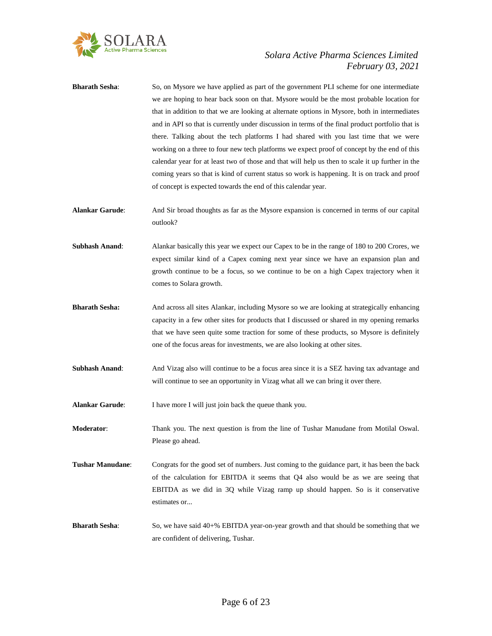

- **Bharath Sesha:** So, on Mysore we have applied as part of the government PLI scheme for one intermediate we are hoping to hear back soon on that. Mysore would be the most probable location for that in addition to that we are looking at alternate options in Mysore, both in intermediates and in API so that is currently under discussion in terms of the final product portfolio that is there. Talking about the tech platforms I had shared with you last time that we were working on a three to four new tech platforms we expect proof of concept by the end of this calendar year for at least two of those and that will help us then to scale it up further in the coming years so that is kind of current status so work is happening. It is on track and proof of concept is expected towards the end of this calendar year. **Alankar Garude**: And Sir broad thoughts as far as the Mysore expansion is concerned in terms of our capital outlook? **Subhash Anand:** Alankar basically this year we expect our Capex to be in the range of 180 to 200 Crores, we expect similar kind of a Capex coming next year since we have an expansion plan and growth continue to be a focus, so we continue to be on a high Capex trajectory when it comes to Solara growth. **Bharath Sesha:** And across all sites Alankar, including Mysore so we are looking at strategically enhancing capacity in a few other sites for products that I discussed or shared in my opening remarks that we have seen quite some traction for some of these products, so Mysore is definitely one of the focus areas for investments, we are also looking at other sites.
- **Subhash Anand:** And Vizag also will continue to be a focus area since it is a SEZ having tax advantage and will continue to see an opportunity in Vizag what all we can bring it over there.

**Alankar Garude:** I have more I will just join back the queue thank you.

**Moderator**: Thank you. The next question is from the line of Tushar Manudane from Motilal Oswal. Please go ahead.

- **Tushar Manudane**: Congrats for the good set of numbers. Just coming to the guidance part, it has been the back of the calculation for EBITDA it seems that Q4 also would be as we are seeing that EBITDA as we did in 3Q while Vizag ramp up should happen. So is it conservative estimates or...
- **Bharath Sesha**: So, we have said 40+% EBITDA year-on-year growth and that should be something that we are confident of delivering, Tushar.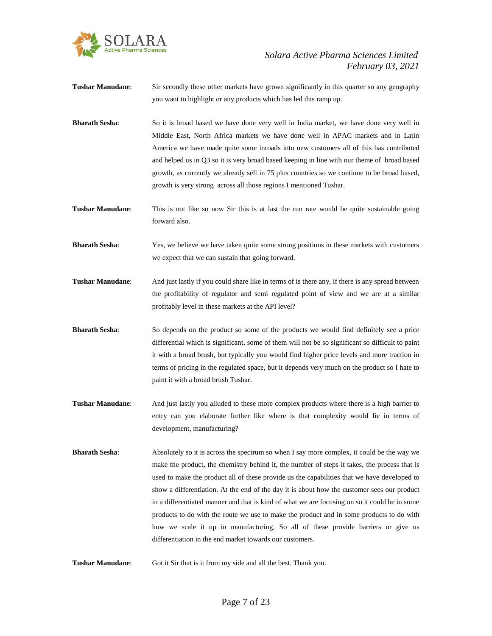

- **Tushar Manudane:** Sir secondly these other markets have grown significantly in this quarter so any geography you want to highlight or any products which has led this ramp up.
- **Bharath Sesha**: So it is broad based we have done very well in India market, we have done very well in Middle East, North Africa markets we have done well in APAC markets and in Latin America we have made quite some inroads into new customers all of this has contributed and helped us in Q3 so it is very broad based keeping in line with our theme of broad based growth, as currently we already sell in 75 plus countries so we continue to be broad based, growth is very strong across all those regions I mentioned Tushar.
- **Tushar Manudane**: This is not like so now Sir this is at last the run rate would be quite sustainable going forward also.
- **Bharath Sesha**: Yes, we believe we have taken quite some strong positions in these markets with customers we expect that we can sustain that going forward.
- **Tushar Manudane**: And just lastly if you could share like in terms of is there any, if there is any spread between the profitability of regulator and semi regulated point of view and we are at a similar profitably level in these markets at the API level?
- **Bharath Sesha**: So depends on the product so some of the products we would find definitely see a price differential which is significant, some of them will not be so significant so difficult to paint it with a broad brush, but typically you would find higher price levels and more traction in terms of pricing in the regulated space, but it depends very much on the product so I hate to paint it with a broad brush Tushar.
- **Tushar Manudane**: And just lastly you alluded to these more complex products where there is a high barrier to entry can you elaborate further like where is that complexity would lie in terms of development, manufacturing?
- **Bharath Sesha:** Absolutely so it is across the spectrum so when I say more complex, it could be the way we make the product, the chemistry behind it, the number of steps it takes, the process that is used to make the product all of these provide us the capabilities that we have developed to show a differentiation. At the end of the day it is about how the customer sees our product in a differentiated manner and that is kind of what we are focusing on so it could be in some products to do with the route we use to make the product and in some products to do with how we scale it up in manufacturing, So all of these provide barriers or give us differentiation in the end market towards our customers.
- **Tushar Manudane**: Got it Sir that is it from my side and all the best. Thank you.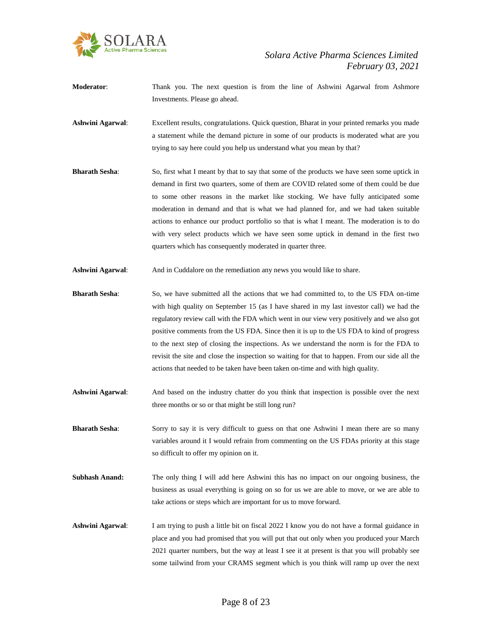

- **Moderator:** Thank you. The next question is from the line of Ashwini Agarwal from Ashmore Investments. Please go ahead.
- **Ashwini Agarwal**: Excellent results, congratulations. Quick question, Bharat in your printed remarks you made a statement while the demand picture in some of our products is moderated what are you trying to say here could you help us understand what you mean by that?
- **Bharath Sesha:** So, first what I meant by that to say that some of the products we have seen some uptick in demand in first two quarters, some of them are COVID related some of them could be due to some other reasons in the market like stocking. We have fully anticipated some moderation in demand and that is what we had planned for, and we had taken suitable actions to enhance our product portfolio so that is what I meant. The moderation is to do with very select products which we have seen some uptick in demand in the first two quarters which has consequently moderated in quarter three.
- **Ashwini Agarwal:** And in Cuddalore on the remediation any news you would like to share.
- **Bharath Sesha**: So, we have submitted all the actions that we had committed to, to the US FDA on-time with high quality on September 15 (as I have shared in my last investor call) we had the regulatory review call with the FDA which went in our view very positively and we also got positive comments from the US FDA. Since then it is up to the US FDA to kind of progress to the next step of closing the inspections. As we understand the norm is for the FDA to revisit the site and close the inspection so waiting for that to happen. From our side all the actions that needed to be taken have been taken on-time and with high quality.
- **Ashwini Agarwal**: And based on the industry chatter do you think that inspection is possible over the next three months or so or that might be still long run?
- **Bharath Sesha:** Sorry to say it is very difficult to guess on that one Ashwini I mean there are so many variables around it I would refrain from commenting on the US FDAs priority at this stage so difficult to offer my opinion on it.
- **Subhash Anand:** The only thing I will add here Ashwini this has no impact on our ongoing business, the business as usual everything is going on so for us we are able to move, or we are able to take actions or steps which are important for us to move forward.
- **Ashwini Agarwal**: I am trying to push a little bit on fiscal 2022 I know you do not have a formal guidance in place and you had promised that you will put that out only when you produced your March 2021 quarter numbers, but the way at least I see it at present is that you will probably see some tailwind from your CRAMS segment which is you think will ramp up over the next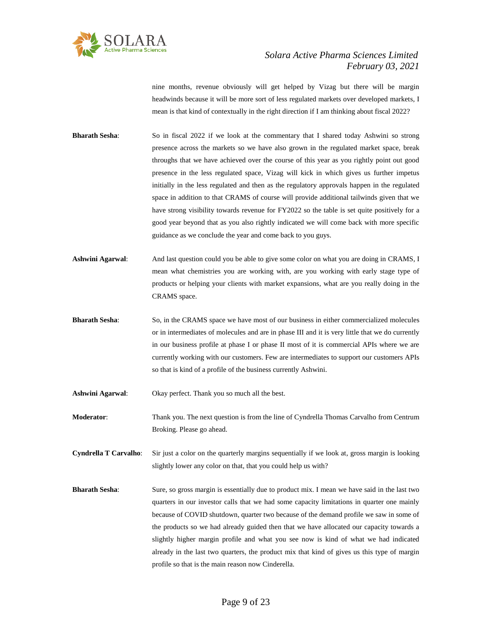

nine months, revenue obviously will get helped by Vizag but there will be margin headwinds because it will be more sort of less regulated markets over developed markets, I mean is that kind of contextually in the right direction if I am thinking about fiscal 2022?

- **Bharath Sesha:** So in fiscal 2022 if we look at the commentary that I shared today Ashwini so strong presence across the markets so we have also grown in the regulated market space, break throughs that we have achieved over the course of this year as you rightly point out good presence in the less regulated space, Vizag will kick in which gives us further impetus initially in the less regulated and then as the regulatory approvals happen in the regulated space in addition to that CRAMS of course will provide additional tailwinds given that we have strong visibility towards revenue for FY2022 so the table is set quite positively for a good year beyond that as you also rightly indicated we will come back with more specific guidance as we conclude the year and come back to you guys.
- **Ashwini Agarwal**: And last question could you be able to give some color on what you are doing in CRAMS, I mean what chemistries you are working with, are you working with early stage type of products or helping your clients with market expansions, what are you really doing in the CRAMS space.
- **Bharath Sesha**: So, in the CRAMS space we have most of our business in either commercialized molecules or in intermediates of molecules and are in phase III and it is very little that we do currently in our business profile at phase I or phase II most of it is commercial APIs where we are currently working with our customers. Few are intermediates to support our customers APIs so that is kind of a profile of the business currently Ashwini.
- **Ashwini Agarwal**: Okay perfect. Thank you so much all the best.
- **Moderator**: Thank you. The next question is from the line of Cyndrella Thomas Carvalho from Centrum Broking. Please go ahead.
- **Cyndrella T Carvalho**: Sir just a color on the quarterly margins sequentially if we look at, gross margin is looking slightly lower any color on that, that you could help us with?
- **Bharath Sesha:** Sure, so gross margin is essentially due to product mix. I mean we have said in the last two quarters in our investor calls that we had some capacity limitations in quarter one mainly because of COVID shutdown, quarter two because of the demand profile we saw in some of the products so we had already guided then that we have allocated our capacity towards a slightly higher margin profile and what you see now is kind of what we had indicated already in the last two quarters, the product mix that kind of gives us this type of margin profile so that is the main reason now Cinderella.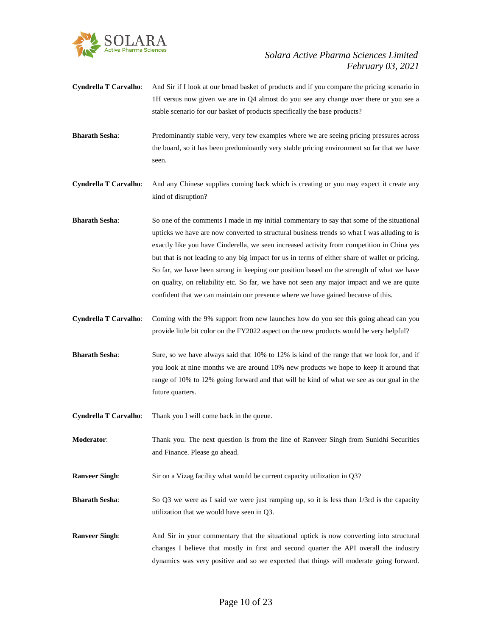

- **Cyndrella T Carvalho**: And Sir if I look at our broad basket of products and if you compare the pricing scenario in 1H versus now given we are in Q4 almost do you see any change over there or you see a stable scenario for our basket of products specifically the base products?
- **Bharath Sesha:** Predominantly stable very, very few examples where we are seeing pricing pressures across the board, so it has been predominantly very stable pricing environment so far that we have seen.
- **Cyndrella T Carvalho**: And any Chinese supplies coming back which is creating or you may expect it create any kind of disruption?
- **Bharath Sesha**: So one of the comments I made in my initial commentary to say that some of the situational upticks we have are now converted to structural business trends so what I was alluding to is exactly like you have Cinderella, we seen increased activity from competition in China yes but that is not leading to any big impact for us in terms of either share of wallet or pricing. So far, we have been strong in keeping our position based on the strength of what we have on quality, on reliability etc. So far, we have not seen any major impact and we are quite confident that we can maintain our presence where we have gained because of this.
- **Cyndrella T Carvalho**: Coming with the 9% support from new launches how do you see this going ahead can you provide little bit color on the FY2022 aspect on the new products would be very helpful?
- **Bharath Sesha**: Sure, so we have always said that 10% to 12% is kind of the range that we look for, and if you look at nine months we are around 10% new products we hope to keep it around that range of 10% to 12% going forward and that will be kind of what we see as our goal in the future quarters.
- **Cyndrella T Carvalho**: Thank you I will come back in the queue.
- **Moderator**: Thank you. The next question is from the line of Ranveer Singh from Sunidhi Securities and Finance. Please go ahead.
- **Ranveer Singh:** Sir on a Vizag facility what would be current capacity utilization in Q3?
- **Bharath Sesha:** So Q3 we were as I said we were just ramping up, so it is less than  $1/3$ rd is the capacity utilization that we would have seen in Q3.
- **Ranveer Singh:** And Sir in your commentary that the situational uptick is now converting into structural changes I believe that mostly in first and second quarter the API overall the industry dynamics was very positive and so we expected that things will moderate going forward.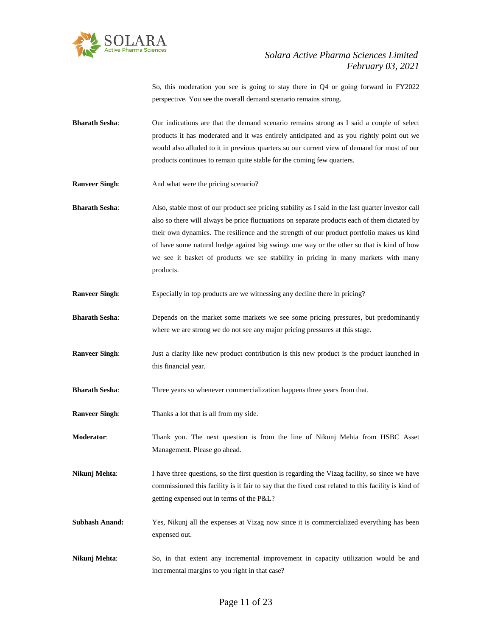

So, this moderation you see is going to stay there in Q4 or going forward in FY2022 perspective. You see the overall demand scenario remains strong.

- **Bharath Sesha**: Our indications are that the demand scenario remains strong as I said a couple of select products it has moderated and it was entirely anticipated and as you rightly point out we would also alluded to it in previous quarters so our current view of demand for most of our products continues to remain quite stable for the coming few quarters.
- **Ranveer Singh:** And what were the pricing scenario?

**Bharath Sesha**: Also, stable most of our product see pricing stability as I said in the last quarter investor call also so there will always be price fluctuations on separate products each of them dictated by their own dynamics. The resilience and the strength of our product portfolio makes us kind of have some natural hedge against big swings one way or the other so that is kind of how we see it basket of products we see stability in pricing in many markets with many products.

- **Ranveer Singh:** Especially in top products are we witnessing any decline there in pricing?
- **Bharath Sesha:** Depends on the market some markets we see some pricing pressures, but predominantly where we are strong we do not see any major pricing pressures at this stage.
- **Ranveer Singh:** Just a clarity like new product contribution is this new product is the product launched in this financial year.
- **Bharath Sesha:** Three years so whenever commercialization happens three years from that.
- **Ranveer Singh**: Thanks a lot that is all from my side.
- **Moderator**: Thank you. The next question is from the line of Nikunj Mehta from HSBC Asset Management. Please go ahead.
- **Nikunj Mehta:** I have three questions, so the first question is regarding the Vizag facility, so since we have commissioned this facility is it fair to say that the fixed cost related to this facility is kind of getting expensed out in terms of the P&L?
- **Subhash Anand:** Yes, Nikunj all the expenses at Vizag now since it is commercialized everything has been expensed out.
- **Nikunj Mehta**: So, in that extent any incremental improvement in capacity utilization would be and incremental margins to you right in that case?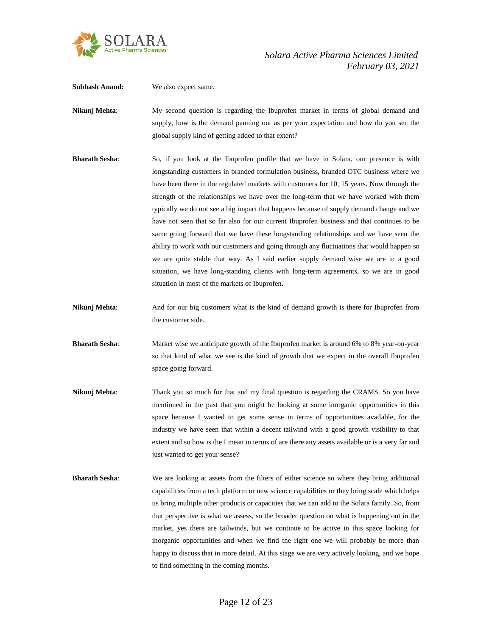

**Subhash Anand:** We also expect same.

Nikunj Mehta: My second question is regarding the Ibuprofen market in terms of global demand and supply, how is the demand panning out as per your expectation and how do you see the global supply kind of getting added to that extent?

- **Bharath Sesha**: So, if you look at the Ibuprofen profile that we have in Solara, our presence is with longstanding customers in branded formulation business, branded OTC business where we have been there in the regulated markets with customers for 10, 15 years. Now through the strength of the relationships we have over the long-term that we have worked with them typically we do not see a big impact that happens because of supply demand change and we have not seen that so far also for our current Ibuprofen business and that continues to be same going forward that we have these longstanding relationships and we have seen the ability to work with our customers and going through any fluctuations that would happen so we are quite stable that way. As I said earlier supply demand wise we are in a good situation, we have long-standing clients with long-term agreements, so we are in good situation in most of the markets of Ibuprofen.
- **Nikunj Mehta:** And for our big customers what is the kind of demand growth is there for Ibuprofen from the customer side.
- **Bharath Sesha**: Market wise we anticipate growth of the Ibuprofen market is around 6% to 8% year-on-year so that kind of what we see is the kind of growth that we expect in the overall Ibuprofen space going forward.
- **Nikunj Mehta:** Thank you so much for that and my final question is regarding the CRAMS. So you have mentioned in the past that you might be looking at some inorganic opportunities in this space because I wanted to get some sense in terms of opportunities available, for the industry we have seen that within a decent tailwind with a good growth visibility to that extent and so how is the I mean in terms of are there any assets available or is a very far and just wanted to get your sense?
- **Bharath Sesha**: We are looking at assets from the filters of either science so where they bring additional capabilities from a tech platform or new science capabilities or they bring scale which helps us bring multiple other products or capacities that we can add to the Solara family. So, from that perspective is what we assess, so the broader question on what is happening out in the market, yes there are tailwinds, but we continue to be active in this space looking for inorganic opportunities and when we find the right one we will probably be more than happy to discuss that in more detail. At this stage we are very actively looking, and we hope to find something in the coming months.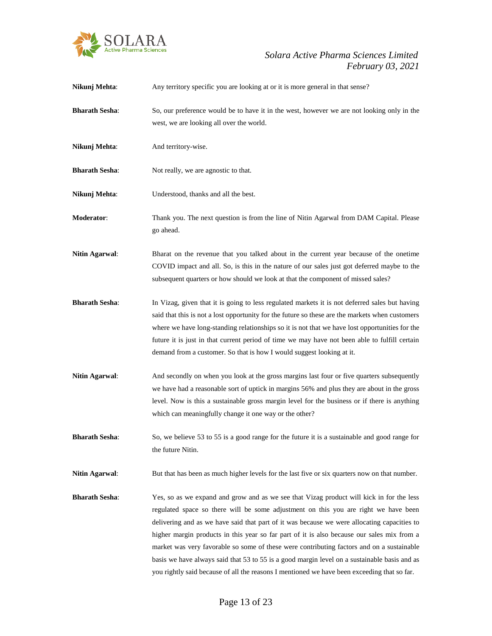

| Nikunj Mehta:         | Any territory specific you are looking at or it is more general in that sense?                                                                                                                                                                                                                                                                                                                                                                                                                                                                                                                                                                                           |
|-----------------------|--------------------------------------------------------------------------------------------------------------------------------------------------------------------------------------------------------------------------------------------------------------------------------------------------------------------------------------------------------------------------------------------------------------------------------------------------------------------------------------------------------------------------------------------------------------------------------------------------------------------------------------------------------------------------|
| <b>Bharath Sesha:</b> | So, our preference would be to have it in the west, however we are not looking only in the<br>west, we are looking all over the world.                                                                                                                                                                                                                                                                                                                                                                                                                                                                                                                                   |
| Nikunj Mehta:         | And territory-wise.                                                                                                                                                                                                                                                                                                                                                                                                                                                                                                                                                                                                                                                      |
| <b>Bharath Sesha:</b> | Not really, we are agnostic to that.                                                                                                                                                                                                                                                                                                                                                                                                                                                                                                                                                                                                                                     |
| Nikunj Mehta:         | Understood, thanks and all the best.                                                                                                                                                                                                                                                                                                                                                                                                                                                                                                                                                                                                                                     |
| Moderator:            | Thank you. The next question is from the line of Nitin Agarwal from DAM Capital. Please<br>go ahead.                                                                                                                                                                                                                                                                                                                                                                                                                                                                                                                                                                     |
| Nitin Agarwal:        | Bharat on the revenue that you talked about in the current year because of the onetime<br>COVID impact and all. So, is this in the nature of our sales just got deferred maybe to the<br>subsequent quarters or how should we look at that the component of missed sales?                                                                                                                                                                                                                                                                                                                                                                                                |
| <b>Bharath Sesha:</b> | In Vizag, given that it is going to less regulated markets it is not deferred sales but having<br>said that this is not a lost opportunity for the future so these are the markets when customers<br>where we have long-standing relationships so it is not that we have lost opportunities for the<br>future it is just in that current period of time we may have not been able to fulfill certain<br>demand from a customer. So that is how I would suggest looking at it.                                                                                                                                                                                            |
| <b>Nitin Agarwal:</b> | And secondly on when you look at the gross margins last four or five quarters subsequently<br>we have had a reasonable sort of uptick in margins 56% and plus they are about in the gross<br>level. Now is this a sustainable gross margin level for the business or if there is anything<br>which can meaningfully change it one way or the other?                                                                                                                                                                                                                                                                                                                      |
| <b>Bharath Sesha:</b> | So, we believe 53 to 55 is a good range for the future it is a sustainable and good range for<br>the future Nitin.                                                                                                                                                                                                                                                                                                                                                                                                                                                                                                                                                       |
| <b>Nitin Agarwal:</b> | But that has been as much higher levels for the last five or six quarters now on that number.                                                                                                                                                                                                                                                                                                                                                                                                                                                                                                                                                                            |
| <b>Bharath Sesha:</b> | Yes, so as we expand and grow and as we see that Vizag product will kick in for the less<br>regulated space so there will be some adjustment on this you are right we have been<br>delivering and as we have said that part of it was because we were allocating capacities to<br>higher margin products in this year so far part of it is also because our sales mix from a<br>market was very favorable so some of these were contributing factors and on a sustainable<br>basis we have always said that 53 to 55 is a good margin level on a sustainable basis and as<br>you rightly said because of all the reasons I mentioned we have been exceeding that so far. |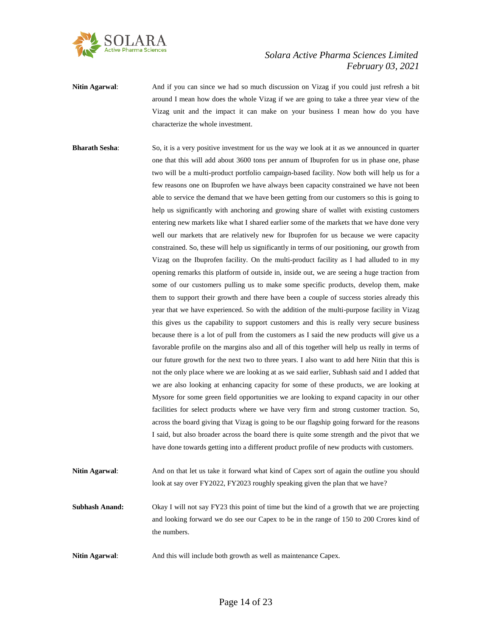

- **Nitin Agarwal:** And if you can since we had so much discussion on Vizag if you could just refresh a bit around I mean how does the whole Vizag if we are going to take a three year view of the Vizag unit and the impact it can make on your business I mean how do you have characterize the whole investment.
- **Bharath Sesha:** So, it is a very positive investment for us the way we look at it as we announced in quarter one that this will add about 3600 tons per annum of Ibuprofen for us in phase one, phase two will be a multi-product portfolio campaign-based facility. Now both will help us for a few reasons one on Ibuprofen we have always been capacity constrained we have not been able to service the demand that we have been getting from our customers so this is going to help us significantly with anchoring and growing share of wallet with existing customers entering new markets like what I shared earlier some of the markets that we have done very well our markets that are relatively new for Ibuprofen for us because we were capacity constrained. So, these will help us significantly in terms of our positioning, our growth from Vizag on the Ibuprofen facility. On the multi-product facility as I had alluded to in my opening remarks this platform of outside in, inside out, we are seeing a huge traction from some of our customers pulling us to make some specific products, develop them, make them to support their growth and there have been a couple of success stories already this year that we have experienced. So with the addition of the multi-purpose facility in Vizag this gives us the capability to support customers and this is really very secure business because there is a lot of pull from the customers as I said the new products will give us a favorable profile on the margins also and all of this together will help us really in terms of our future growth for the next two to three years. I also want to add here Nitin that this is not the only place where we are looking at as we said earlier, Subhash said and I added that we are also looking at enhancing capacity for some of these products, we are looking at Mysore for some green field opportunities we are looking to expand capacity in our other facilities for select products where we have very firm and strong customer traction. So, across the board giving that Vizag is going to be our flagship going forward for the reasons I said, but also broader across the board there is quite some strength and the pivot that we have done towards getting into a different product profile of new products with customers.
- **Nitin Agarwal**: And on that let us take it forward what kind of Capex sort of again the outline you should look at say over FY2022, FY2023 roughly speaking given the plan that we have?
- **Subhash Anand:** Okay I will not say FY23 this point of time but the kind of a growth that we are projecting and looking forward we do see our Capex to be in the range of 150 to 200 Crores kind of the numbers.
- Nitin Agarwal: And this will include both growth as well as maintenance Capex.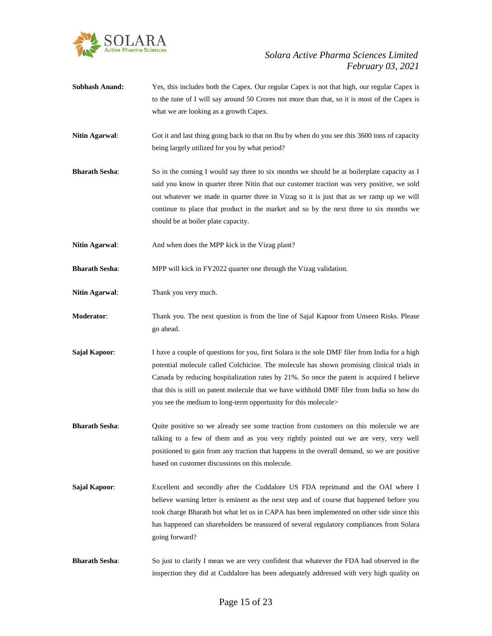

- **Subhash Anand:** Yes, this includes both the Capex. Our regular Capex is not that high, our regular Capex is to the tune of I will say around 50 Crores not more than that, so it is most of the Capex is what we are looking as a growth Capex.
- **Nitin Agarwal:** Got it and last thing going back to that on Ibu by when do you see this 3600 tons of capacity being largely utilized for you by what period?
- **Bharath Sesha:** So in the coming I would say three to six months we should be at boilerplate capacity as I said you know in quarter three Nitin that our customer traction was very positive, we sold out whatever we made in quarter three in Vizag so it is just that as we ramp up we will continue to place that product in the market and so by the next three to six months we should be at boiler plate capacity.
- Nitin Agarwal: And when does the MPP kick in the Vizag plant?

**Bharath Sesha:** MPP will kick in FY2022 quarter one through the Vizag validation.

- **Nitin Agarwal:** Thank you very much.
- **Moderator**: Thank you. The next question is from the line of Sajal Kapoor from Unseen Risks. Please go ahead.
- **Sajal Kapoor:** I have a couple of questions for you, first Solara is the sole DMF filer from India for a high potential molecule called Colchicine. The molecule has shown promising clinical trials in Canada by reducing hospitalization rates by 21%. So once the patent is acquired I believe that this is still on patent molecule that we have withhold DMF filer from India so how do you see the medium to long-term opportunity for this molecule>
- **Bharath Sesha:** Quite positive so we already see some traction from customers on this molecule we are talking to a few of them and as you very rightly pointed out we are very, very well positioned to gain from any traction that happens in the overall demand, so we are positive based on customer discussions on this molecule.
- **Sajal Kapoor:** Excellent and secondly after the Cuddalore US FDA reprimand and the OAI where I believe warning letter is eminent as the next step and of course that happened before you took charge Bharath but what let us in CAPA has been implemented on other side since this has happened can shareholders be reassured of several regulatory compliances from Solara going forward?
- **Bharath Sesha**: So just to clarify I mean we are very confident that whatever the FDA had observed in the inspection they did at Cuddalore has been adequately addressed with very high quality on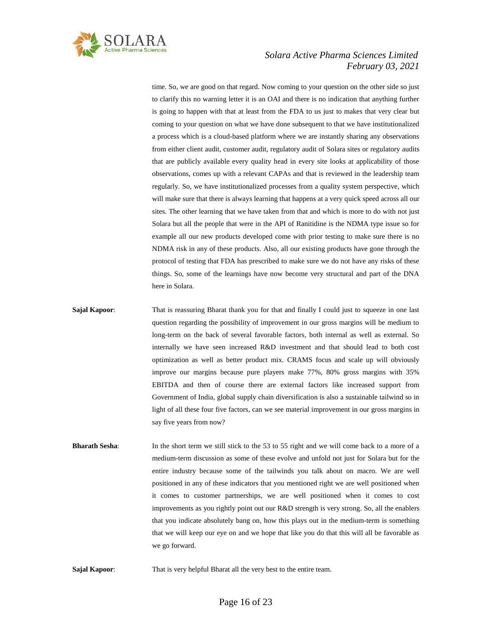

time. So, we are good on that regard. Now coming to your question on the other side so just to clarify this no warning letter it is an OAI and there is no indication that anything further is going to happen with that at least from the FDA to us just to makes that very clear but coming to your question on what we have done subsequent to that we have institutionalized a process which is a cloud-based platform where we are instantly sharing any observations from either client audit, customer audit, regulatory audit of Solara sites or regulatory audits that are publicly available every quality head in every site looks at applicability of those observations, comes up with a relevant CAPAs and that is reviewed in the leadership team regularly. So, we have institutionalized processes from a quality system perspective, which will make sure that there is always learning that happens at a very quick speed across all our sites. The other learning that we have taken from that and which is more to do with not just Solara but all the people that were in the API of Ranitidine is the NDMA type issue so for example all our new products developed come with prior testing to make sure there is no NDMA risk in any of these products. Also, all our existing products have gone through the protocol of testing that FDA has prescribed to make sure we do not have any risks of these things. So, some of the learnings have now become very structural and part of the DNA here in Solara.

- **Sajal Kapoor:** That is reassuring Bharat thank you for that and finally I could just to squeeze in one last question regarding the possibility of improvement in our gross margins will be medium to long-term on the back of several favorable factors, both internal as well as external. So internally we have seen increased R&D investment and that should lead to both cost optimization as well as better product mix. CRAMS focus and scale up will obviously improve our margins because pure players make 77%, 80% gross margins with 35% EBITDA and then of course there are external factors like increased support from Government of India, global supply chain diversification is also a sustainable tailwind so in light of all these four five factors, can we see material improvement in our gross margins in say five years from now?
- **Bharath Sesha**: In the short term we still stick to the 53 to 55 right and we will come back to a more of a medium-term discussion as some of these evolve and unfold not just for Solara but for the entire industry because some of the tailwinds you talk about on macro. We are well positioned in any of these indicators that you mentioned right we are well positioned when it comes to customer partnerships, we are well positioned when it comes to cost improvements as you rightly point out our R&D strength is very strong. So, all the enablers that you indicate absolutely bang on, how this plays out in the medium-term is something that we will keep our eye on and we hope that like you do that this will all be favorable as we go forward.
- **Sajal Kapoor:** That is very helpful Bharat all the very best to the entire team.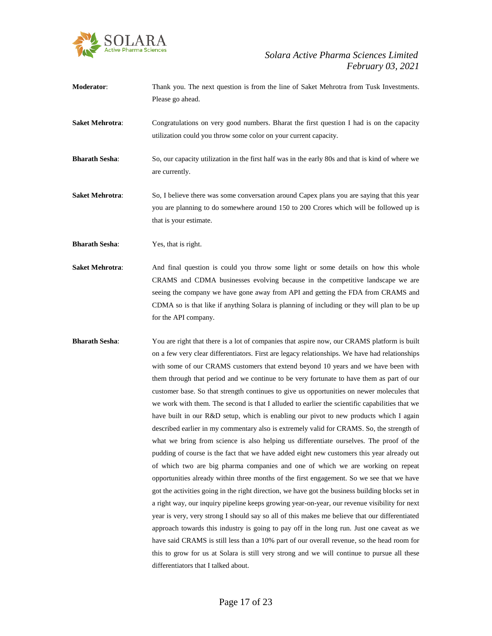

- **Moderator**: Thank you. The next question is from the line of Saket Mehrotra from Tusk Investments. Please go ahead.
- **Saket Mehrotra:** Congratulations on very good numbers. Bharat the first question I had is on the capacity utilization could you throw some color on your current capacity.
- **Bharath Sesha**: So, our capacity utilization in the first half was in the early 80s and that is kind of where we are currently.
- **Saket Mehrotra:** So, I believe there was some conversation around Capex plans you are saying that this year you are planning to do somewhere around 150 to 200 Crores which will be followed up is that is your estimate.
- **Bharath Sesha**: Yes, that is right.
- Saket Mehrotra: And final question is could you throw some light or some details on how this whole CRAMS and CDMA businesses evolving because in the competitive landscape we are seeing the company we have gone away from API and getting the FDA from CRAMS and CDMA so is that like if anything Solara is planning of including or they will plan to be up for the API company.
- **Bharath Sesha:** You are right that there is a lot of companies that aspire now, our CRAMS platform is built on a few very clear differentiators. First are legacy relationships. We have had relationships with some of our CRAMS customers that extend beyond 10 years and we have been with them through that period and we continue to be very fortunate to have them as part of our customer base. So that strength continues to give us opportunities on newer molecules that we work with them. The second is that I alluded to earlier the scientific capabilities that we have built in our R&D setup, which is enabling our pivot to new products which I again described earlier in my commentary also is extremely valid for CRAMS. So, the strength of what we bring from science is also helping us differentiate ourselves. The proof of the pudding of course is the fact that we have added eight new customers this year already out of which two are big pharma companies and one of which we are working on repeat opportunities already within three months of the first engagement. So we see that we have got the activities going in the right direction, we have got the business building blocks set in a right way, our inquiry pipeline keeps growing year-on-year, our revenue visibility for next year is very, very strong I should say so all of this makes me believe that our differentiated approach towards this industry is going to pay off in the long run. Just one caveat as we have said CRAMS is still less than a 10% part of our overall revenue, so the head room for this to grow for us at Solara is still very strong and we will continue to pursue all these differentiators that I talked about.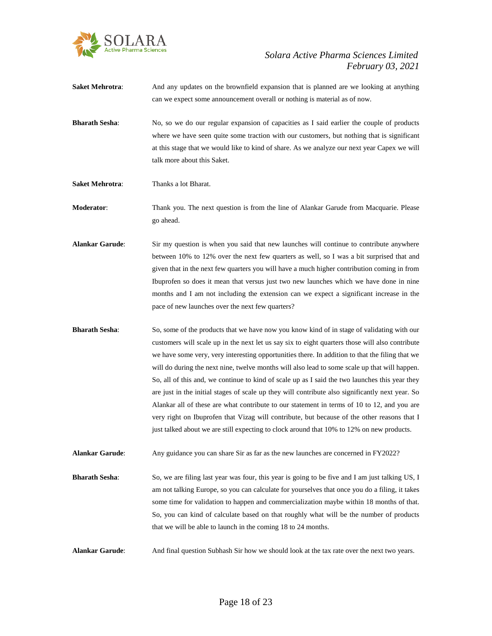

- **Saket Mehrotra:** And any updates on the brownfield expansion that is planned are we looking at anything can we expect some announcement overall or nothing is material as of now.
- **Bharath Sesha**: No, so we do our regular expansion of capacities as I said earlier the couple of products where we have seen quite some traction with our customers, but nothing that is significant at this stage that we would like to kind of share. As we analyze our next year Capex we will talk more about this Saket.
- **Saket Mehrotra**: Thanks a lot Bharat.

**Moderator**: Thank you. The next question is from the line of Alankar Garude from Macquarie. Please go ahead.

- **Alankar Garude**: Sir my question is when you said that new launches will continue to contribute anywhere between 10% to 12% over the next few quarters as well, so I was a bit surprised that and given that in the next few quarters you will have a much higher contribution coming in from Ibuprofen so does it mean that versus just two new launches which we have done in nine months and I am not including the extension can we expect a significant increase in the pace of new launches over the next few quarters?
- **Bharath Sesha:** So, some of the products that we have now you know kind of in stage of validating with our customers will scale up in the next let us say six to eight quarters those will also contribute we have some very, very interesting opportunities there. In addition to that the filing that we will do during the next nine, twelve months will also lead to some scale up that will happen. So, all of this and, we continue to kind of scale up as I said the two launches this year they are just in the initial stages of scale up they will contribute also significantly next year. So Alankar all of these are what contribute to our statement in terms of 10 to 12, and you are very right on Ibuprofen that Vizag will contribute, but because of the other reasons that I just talked about we are still expecting to clock around that 10% to 12% on new products.

**Alankar Garude**: Any guidance you can share Sir as far as the new launches are concerned in FY2022?

**Bharath Sesha**: So, we are filing last year was four, this year is going to be five and I am just talking US, I am not talking Europe, so you can calculate for yourselves that once you do a filing, it takes some time for validation to happen and commercialization maybe within 18 months of that. So, you can kind of calculate based on that roughly what will be the number of products that we will be able to launch in the coming 18 to 24 months.

**Alankar Garude**: And final question Subhash Sir how we should look at the tax rate over the next two years.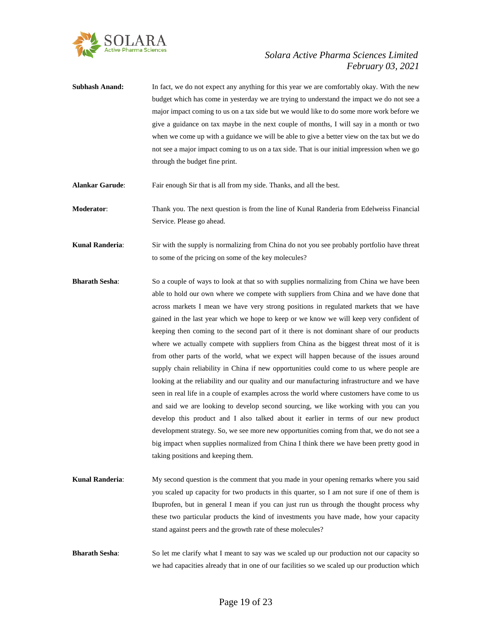

- **Subhash Anand:** In fact, we do not expect any anything for this year we are comfortably okay. With the new budget which has come in yesterday we are trying to understand the impact we do not see a major impact coming to us on a tax side but we would like to do some more work before we give a guidance on tax maybe in the next couple of months, I will say in a month or two when we come up with a guidance we will be able to give a better view on the tax but we do not see a major impact coming to us on a tax side. That is our initial impression when we go through the budget fine print.
- **Alankar Garude**: Fair enough Sir that is all from my side. Thanks, and all the best.

**Moderator**: Thank you. The next question is from the line of Kunal Randeria from Edelweiss Financial Service. Please go ahead.

**Kunal Randeria:** Sir with the supply is normalizing from China do not you see probably portfolio have threat to some of the pricing on some of the key molecules?

- **Bharath Sesha:** So a couple of ways to look at that so with supplies normalizing from China we have been able to hold our own where we compete with suppliers from China and we have done that across markets I mean we have very strong positions in regulated markets that we have gained in the last year which we hope to keep or we know we will keep very confident of keeping then coming to the second part of it there is not dominant share of our products where we actually compete with suppliers from China as the biggest threat most of it is from other parts of the world, what we expect will happen because of the issues around supply chain reliability in China if new opportunities could come to us where people are looking at the reliability and our quality and our manufacturing infrastructure and we have seen in real life in a couple of examples across the world where customers have come to us and said we are looking to develop second sourcing, we like working with you can you develop this product and I also talked about it earlier in terms of our new product development strategy. So, we see more new opportunities coming from that, we do not see a big impact when supplies normalized from China I think there we have been pretty good in taking positions and keeping them.
- **Kunal Randeria:** My second question is the comment that you made in your opening remarks where you said you scaled up capacity for two products in this quarter, so I am not sure if one of them is Ibuprofen, but in general I mean if you can just run us through the thought process why these two particular products the kind of investments you have made, how your capacity stand against peers and the growth rate of these molecules?
- **Bharath Sesha:** So let me clarify what I meant to say was we scaled up our production not our capacity so we had capacities already that in one of our facilities so we scaled up our production which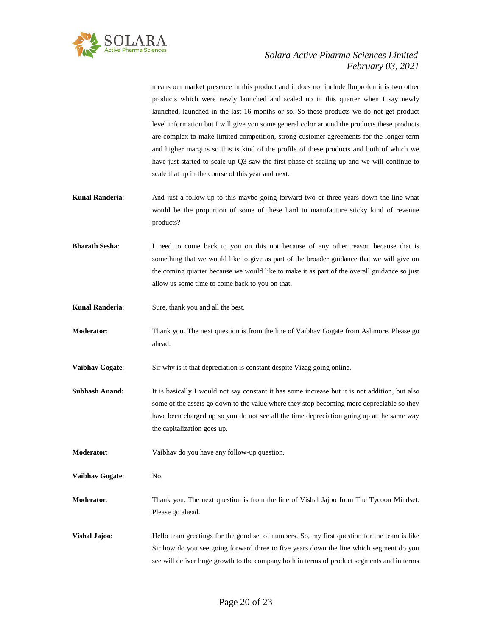

means our market presence in this product and it does not include Ibuprofen it is two other products which were newly launched and scaled up in this quarter when I say newly launched, launched in the last 16 months or so. So these products we do not get product level information but I will give you some general color around the products these products are complex to make limited competition, strong customer agreements for the longer-term and higher margins so this is kind of the profile of these products and both of which we have just started to scale up Q3 saw the first phase of scaling up and we will continue to scale that up in the course of this year and next.

- **Kunal Randeria**: And just a follow-up to this maybe going forward two or three years down the line what would be the proportion of some of these hard to manufacture sticky kind of revenue products?
- **Bharath Sesha**: I need to come back to you on this not because of any other reason because that is something that we would like to give as part of the broader guidance that we will give on the coming quarter because we would like to make it as part of the overall guidance so just allow us some time to come back to you on that.
- **Kunal Randeria**: Sure, thank you and all the best.
- **Moderator**: Thank you. The next question is from the line of Vaibhav Gogate from Ashmore. Please go ahead.
- **Vaibhav Gogate**: Sir why is it that depreciation is constant despite Vizag going online.
- **Subhash Anand:** It is basically I would not say constant it has some increase but it is not addition, but also some of the assets go down to the value where they stop becoming more depreciable so they have been charged up so you do not see all the time depreciation going up at the same way the capitalization goes up.

**Moderator**: Vaibhav do you have any follow-up question.

**Vaibhav Gogate**: No.

**Moderator**: Thank you. The next question is from the line of Vishal Jajoo from The Tycoon Mindset. Please go ahead.

**Vishal Jajoo:** Hello team greetings for the good set of numbers. So, my first question for the team is like Sir how do you see going forward three to five years down the line which segment do you see will deliver huge growth to the company both in terms of product segments and in terms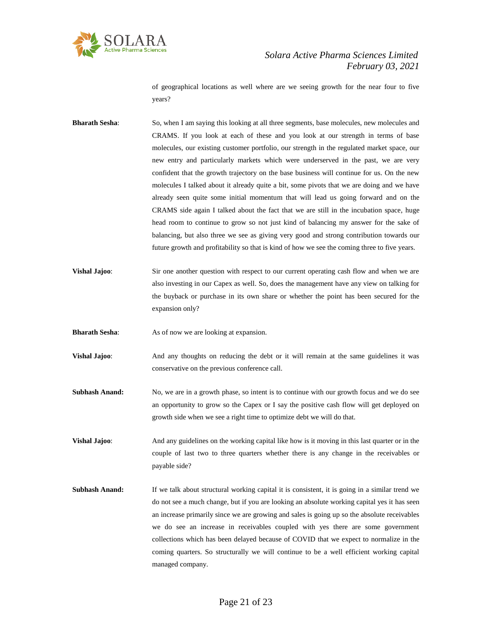

of geographical locations as well where are we seeing growth for the near four to five years?

**Bharath Sesha:** So, when I am saying this looking at all three segments, base molecules, new molecules and CRAMS. If you look at each of these and you look at our strength in terms of base molecules, our existing customer portfolio, our strength in the regulated market space, our new entry and particularly markets which were underserved in the past, we are very confident that the growth trajectory on the base business will continue for us. On the new molecules I talked about it already quite a bit, some pivots that we are doing and we have already seen quite some initial momentum that will lead us going forward and on the CRAMS side again I talked about the fact that we are still in the incubation space, huge head room to continue to grow so not just kind of balancing my answer for the sake of balancing, but also three we see as giving very good and strong contribution towards our future growth and profitability so that is kind of how we see the coming three to five years.

**Vishal Jajoo:** Sir one another question with respect to our current operating cash flow and when we are also investing in our Capex as well. So, does the management have any view on talking for the buyback or purchase in its own share or whether the point has been secured for the expansion only?

**Bharath Sesha:** As of now we are looking at expansion.

- **Vishal Jajoo**: And any thoughts on reducing the debt or it will remain at the same guidelines it was conservative on the previous conference call.
- **Subhash Anand:** No, we are in a growth phase, so intent is to continue with our growth focus and we do see an opportunity to grow so the Capex or I say the positive cash flow will get deployed on growth side when we see a right time to optimize debt we will do that.

**Vishal Jajoo:** And any guidelines on the working capital like how is it moving in this last quarter or in the couple of last two to three quarters whether there is any change in the receivables or payable side?

**Subhash Anand:** If we talk about structural working capital it is consistent, it is going in a similar trend we do not see a much change, but if you are looking an absolute working capital yes it has seen an increase primarily since we are growing and sales is going up so the absolute receivables we do see an increase in receivables coupled with yes there are some government collections which has been delayed because of COVID that we expect to normalize in the coming quarters. So structurally we will continue to be a well efficient working capital managed company.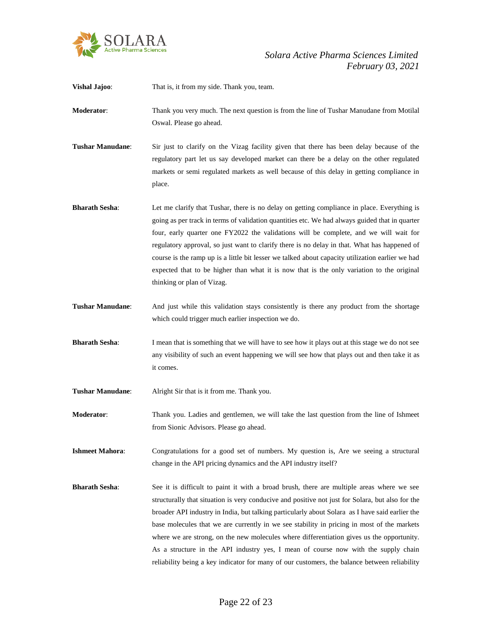

| <b>Vishal Jajoo:</b>    | That is, it from my side. Thank you, team.                                                                                                                                                                                                                                                                                                                                                                                                                                                                                                                                                                            |
|-------------------------|-----------------------------------------------------------------------------------------------------------------------------------------------------------------------------------------------------------------------------------------------------------------------------------------------------------------------------------------------------------------------------------------------------------------------------------------------------------------------------------------------------------------------------------------------------------------------------------------------------------------------|
| <b>Moderator:</b>       | Thank you very much. The next question is from the line of Tushar Manudane from Motilal<br>Oswal. Please go ahead.                                                                                                                                                                                                                                                                                                                                                                                                                                                                                                    |
| <b>Tushar Manudane:</b> | Sir just to clarify on the Vizag facility given that there has been delay because of the<br>regulatory part let us say developed market can there be a delay on the other regulated<br>markets or semi regulated markets as well because of this delay in getting compliance in<br>place.                                                                                                                                                                                                                                                                                                                             |
| <b>Bharath Sesha:</b>   | Let me clarify that Tushar, there is no delay on getting compliance in place. Everything is<br>going as per track in terms of validation quantities etc. We had always guided that in quarter<br>four, early quarter one FY2022 the validations will be complete, and we will wait for<br>regulatory approval, so just want to clarify there is no delay in that. What has happened of<br>course is the ramp up is a little bit lesser we talked about capacity utilization earlier we had<br>expected that to be higher than what it is now that is the only variation to the original<br>thinking or plan of Vizag. |
| <b>Tushar Manudane:</b> | And just while this validation stays consistently is there any product from the shortage<br>which could trigger much earlier inspection we do.                                                                                                                                                                                                                                                                                                                                                                                                                                                                        |
| <b>Bharath Sesha:</b>   | I mean that is something that we will have to see how it plays out at this stage we do not see<br>any visibility of such an event happening we will see how that plays out and then take it as<br>it comes.                                                                                                                                                                                                                                                                                                                                                                                                           |
| <b>Tushar Manudane:</b> | Alright Sir that is it from me. Thank you.                                                                                                                                                                                                                                                                                                                                                                                                                                                                                                                                                                            |
| <b>Moderator:</b>       | Thank you. Ladies and gentlemen, we will take the last question from the line of Ishmeet<br>from Sionic Advisors. Please go ahead.                                                                                                                                                                                                                                                                                                                                                                                                                                                                                    |

**Ishmeet Mahora**: Congratulations for a good set of numbers. My question is, Are we seeing a structural change in the API pricing dynamics and the API industry itself?

**Bharath Sesha:** See it is difficult to paint it with a broad brush, there are multiple areas where we see structurally that situation is very conducive and positive not just for Solara, but also for the broader API industry in India, but talking particularly about Solara as I have said earlier the base molecules that we are currently in we see stability in pricing in most of the markets where we are strong, on the new molecules where differentiation gives us the opportunity. As a structure in the API industry yes, I mean of course now with the supply chain reliability being a key indicator for many of our customers, the balance between reliability